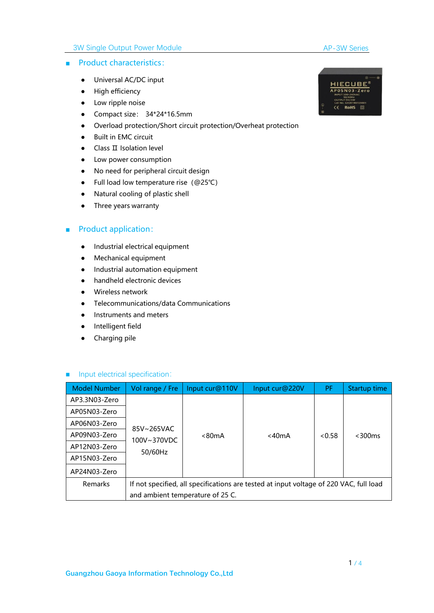### 3W Single Output Power Module

#### AP-3W Series

#### ■ Product characteristics:

- Universal AC/DC input
- High efficiency
- Low ripple noise
- Compact size: 34\*24\*16.5mm
- Overload protection/Short circuit protection/Overheat protection
- Built in EMC circuit
- Class II Isolation level
- Low power consumption
- No need for peripheral circuit design
- Full load low temperature rise(@25℃)
- Natural cooling of plastic shell<br>● Three years warranty
- 

### ■ Product application:

- Industrial electrical equipment
- Mechanical equipment
- Industrial automation equipment
- handheld electronic devices
- Wireless network
- Telecommunications/data Communications
- Instruments and meters
- Intelligent field
- Charging pile

### ■ Input electrical specification:

| <b>Model Number</b> | Vol range / Fre        | Input cur@110V                   | Input cur@220V                                                                         | PF.    | Startup time |
|---------------------|------------------------|----------------------------------|----------------------------------------------------------------------------------------|--------|--------------|
| AP3.3N03-Zero       |                        |                                  |                                                                                        |        |              |
| AP05N03-Zero        |                        |                                  |                                                                                        |        |              |
| AP06N03-Zero        | 85V~265VAC             |                                  |                                                                                        |        |              |
| AP09N03-Zero        | 100V~370VDC<br>50/60Hz | < 80mA                           | <40mA                                                                                  | < 0.58 | $<$ 300 $ms$ |
| AP12N03-Zero        |                        |                                  |                                                                                        |        |              |
| AP15N03-Zero        |                        |                                  |                                                                                        |        |              |
| AP24N03-Zero        |                        |                                  |                                                                                        |        |              |
| Remarks             |                        | and ambient temperature of 25 C. | If not specified, all specifications are tested at input voltage of 220 VAC, full load |        |              |

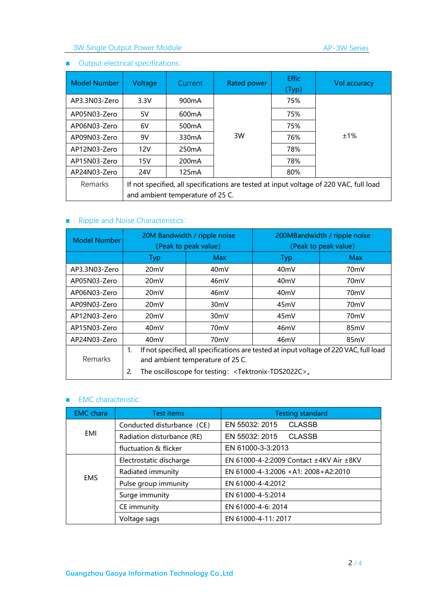# 3W Single Output Power Module

## ■ Output electrical specifications:

| <b>Model Number</b> | Voltage | <b>Current</b>                   | Rated power | <b>Effic</b><br>(Typ) | Vol accuracy                                                                           |  |  |
|---------------------|---------|----------------------------------|-------------|-----------------------|----------------------------------------------------------------------------------------|--|--|
| AP3.3N03-Zero       | 3.3V    | 900 <sub>m</sub> A               |             | 75%                   |                                                                                        |  |  |
| AP05N03-Zero        | 5V      | 600 <sub>m</sub> A               |             | 75%                   |                                                                                        |  |  |
| AP06N03-Zero        | 6V      | 500 <sub>m</sub> A               |             | 75%                   | ±1%                                                                                    |  |  |
| AP09N03-Zero        | 9V      | 330 <sub>m</sub> A               | 3W          | 76%                   |                                                                                        |  |  |
| AP12N03-Zero        | 12V     | 250mA                            |             | 78%                   |                                                                                        |  |  |
| AP15N03-Zero        | 15V     | 200mA                            |             | 78%                   |                                                                                        |  |  |
| AP24N03-Zero        | 24V     | 125mA                            |             | 80%                   |                                                                                        |  |  |
| Remarks             |         | and ambient temperature of 25 C. |             |                       | If not specified, all specifications are tested at input voltage of 220 VAC, full load |  |  |

# ■ Ripple and Noise Characteristics:

| <b>Model Number</b> | 20M Bandwidth / ripple noise<br>(Peak to peak value)                                                                                                                                                                |                   | 200MBandwidth / ripple noise<br>(Peak to peak value) |                   |  |
|---------------------|---------------------------------------------------------------------------------------------------------------------------------------------------------------------------------------------------------------------|-------------------|------------------------------------------------------|-------------------|--|
| Typ                 |                                                                                                                                                                                                                     | <b>Max</b>        | Typ                                                  | <b>Max</b>        |  |
| AP3.3N03-Zero       | 20mV                                                                                                                                                                                                                | 40 <sub>m</sub> V | 40 <sub>m</sub> V                                    | 70 <sub>m</sub> V |  |
| AP05N03-Zero        | 20mV                                                                                                                                                                                                                | 46mV              | 40 <sub>m</sub> V                                    | 70 <sub>m</sub> V |  |
| AP06N03-Zero        | 20mV                                                                                                                                                                                                                | 46mV              | 40 <sub>m</sub> V                                    | 70 <sub>m</sub> V |  |
| AP09N03-Zero        | 20mV                                                                                                                                                                                                                | 30 <sub>m</sub> V | 45 <sub>m</sub> V                                    | 70 <sub>m</sub> V |  |
| AP12N03-Zero        | 20mV                                                                                                                                                                                                                | 30 <sub>m</sub> V | 45 <sub>m</sub> V                                    | 70 <sub>m</sub> V |  |
| AP15N03-Zero        | 40 <sub>m</sub> V                                                                                                                                                                                                   | 70 <sub>m</sub> V | 46mV                                                 | 85mV              |  |
| AP24N03-Zero        | 40mV                                                                                                                                                                                                                | 70 <sub>m</sub> V | 46mV                                                 | 85 <sub>m</sub> V |  |
| <b>Remarks</b>      | If not specified, all specifications are tested at input voltage of 220 VAC, full load<br>1.<br>and ambient temperature of 25 C.<br>The oscilloscope for testing: <tektronix-tds2022c>.<br/>2.</tektronix-tds2022c> |                   |                                                      |                   |  |

### ■ EMC characteristic:

| <b>EMC</b> chara                | Test items                 | <b>Testing standard</b>                 |  |  |  |  |
|---------------------------------|----------------------------|-----------------------------------------|--|--|--|--|
|                                 | Conducted disturbance (CE) | <b>CLASSB</b><br>EN 55032: 2015         |  |  |  |  |
| EMI                             | Radiation disturbance (RE) | EN 55032: 2015<br><b>CLASSB</b>         |  |  |  |  |
|                                 | fluctuation & flicker      | EN 61000-3-3:2013                       |  |  |  |  |
|                                 | Electrostatic discharge    | EN 61000-4-2:2009 Contact ±4KV Air ±8KV |  |  |  |  |
| Radiated immunity<br><b>EMS</b> |                            | EN 61000-4-3:2006 +A1: 2008+A2:2010     |  |  |  |  |
|                                 | Pulse group immunity       | EN 61000-4-4:2012                       |  |  |  |  |
|                                 | Surge immunity             | EN 61000-4-5:2014                       |  |  |  |  |
|                                 | CE immunity                | EN 61000-4-6: 2014                      |  |  |  |  |
|                                 | Voltage sags               | EN 61000-4-11: 2017                     |  |  |  |  |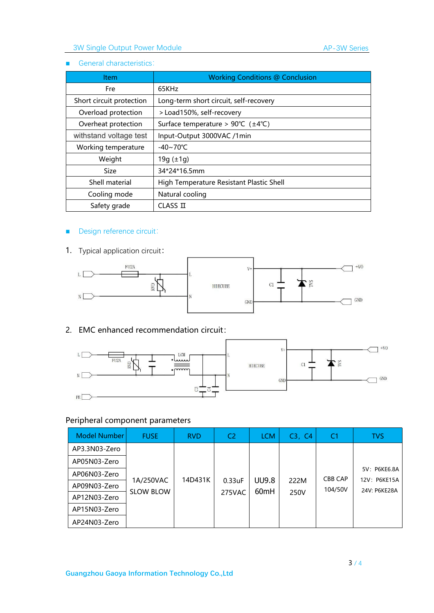#### ■ General characteristics:

| <b>Item</b>              | <b>Working Conditions @ Conclusion</b>                   |
|--------------------------|----------------------------------------------------------|
| 65KHz<br>Fre             |                                                          |
| Short circuit protection | Long-term short circuit, self-recovery                   |
| Overload protection      | > Load150%, self-recovery                                |
| Overheat protection      | Surface temperature > $90^{\circ}C$ ( $\pm 4^{\circ}C$ ) |
| withstand voltage test   | Input-Output 3000VAC /1min                               |
| Working temperature      | $-40 \sim 70^{\circ}$ C                                  |
| Weight                   | 19g $(\pm 1)$                                            |
| <b>Size</b>              | 34*24*16.5mm                                             |
| Shell material           | High Temperature Resistant Plastic Shell                 |
| Cooling mode             | Natural cooling                                          |
| Safety grade             | CLASSI                                                   |

## ■ Design reference circuit:

1. Typical application circuit:



## 2. EMC enhanced recommendation circuit:



# Peripheral component parameters

| Model Number  | <b>FUSE</b>                   | <b>RVD</b> | C <sub>2</sub>      | <b>LCM</b>       | C3, C4       | C <sub>1</sub> | <b>TVS</b>                   |
|---------------|-------------------------------|------------|---------------------|------------------|--------------|----------------|------------------------------|
| AP3.3N03-Zero |                               |            |                     |                  |              |                |                              |
| AP05N03-Zero  |                               |            |                     |                  |              |                |                              |
| AP06N03-Zero  |                               | 14D431K    |                     | <b>UU9.8</b>     |              | <b>CBB CAP</b> | 5V: P6KE6.8A<br>12V: P6KE15A |
| AP09N03-Zero  | 1A/250VAC<br><b>SLOW BLOW</b> |            | $0.33$ uF<br>275VAC | 60 <sub>mH</sub> | 222M<br>250V | 104/50V        | 24V: P6KE28A                 |
| AP12N03-Zero  |                               |            |                     |                  |              |                |                              |
| AP15N03-Zero  |                               |            |                     |                  |              |                |                              |
| AP24N03-Zero  |                               |            |                     |                  |              |                |                              |